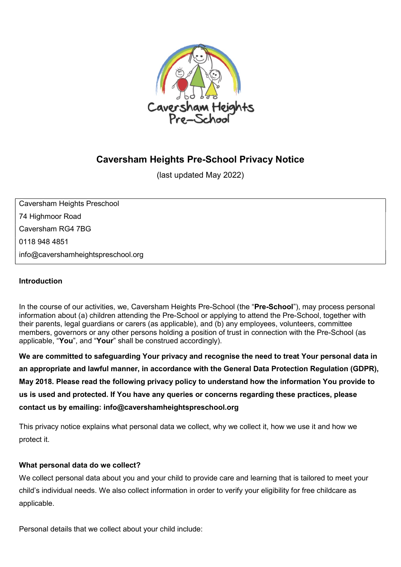

# Caversham Heights Pre-School Privacy Notice

(last updated May 2022)

Caversham Heights Preschool 74 Highmoor Road Caversham RG4 7BG 0118 948 4851 info@cavershamheightspreschool.org

#### Introduction

In the course of our activities, we, Caversham Heights Pre-School (the "Pre-School"), may process personal information about (a) children attending the Pre-School or applying to attend the Pre-School, together with their parents, legal guardians or carers (as applicable), and (b) any employees, volunteers, committee members, governors or any other persons holding a position of trust in connection with the Pre-School (as applicable, "You", and "Your" shall be construed accordingly).

We are committed to safeguarding Your privacy and recognise the need to treat Your personal data in an appropriate and lawful manner, in accordance with the General Data Protection Regulation (GDPR), May 2018. Please read the following privacy policy to understand how the information You provide to us is used and protected. If You have any queries or concerns regarding these practices, please contact us by emailing: info@cavershamheightspreschool.org

This privacy notice explains what personal data we collect, why we collect it, how we use it and how we protect it.

#### What personal data do we collect?

We collect personal data about you and your child to provide care and learning that is tailored to meet your child's individual needs. We also collect information in order to verify your eligibility for free childcare as applicable.

Personal details that we collect about your child include: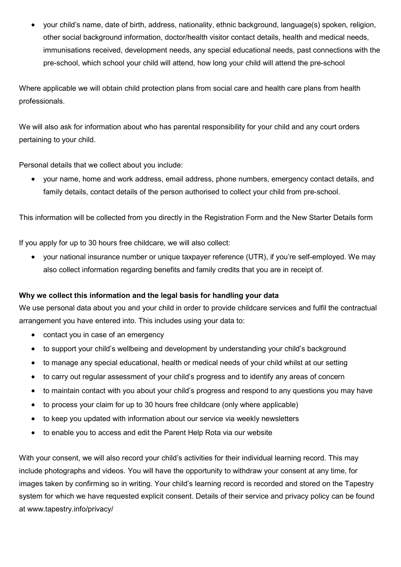your child's name, date of birth, address, nationality, ethnic background, language(s) spoken, religion, other social background information, doctor/health visitor contact details, health and medical needs, immunisations received, development needs, any special educational needs, past connections with the pre-school, which school your child will attend, how long your child will attend the pre-school

Where applicable we will obtain child protection plans from social care and health care plans from health professionals.

We will also ask for information about who has parental responsibility for your child and any court orders pertaining to your child.

Personal details that we collect about you include:

 your name, home and work address, email address, phone numbers, emergency contact details, and family details, contact details of the person authorised to collect your child from pre-school.

This information will be collected from you directly in the Registration Form and the New Starter Details form

If you apply for up to 30 hours free childcare, we will also collect:

 your national insurance number or unique taxpayer reference (UTR), if you're self-employed. We may also collect information regarding benefits and family credits that you are in receipt of.

#### Why we collect this information and the legal basis for handling your data

We use personal data about you and your child in order to provide childcare services and fulfil the contractual arrangement you have entered into. This includes using your data to:

- contact you in case of an emergency
- to support your child's wellbeing and development by understanding your child's background
- to manage any special educational, health or medical needs of your child whilst at our setting
- to carry out regular assessment of your child's progress and to identify any areas of concern
- to maintain contact with you about your child's progress and respond to any questions you may have
- to process your claim for up to 30 hours free childcare (only where applicable)
- to keep you updated with information about our service via weekly newsletters
- to enable you to access and edit the Parent Help Rota via our website

With your consent, we will also record your child's activities for their individual learning record. This may include photographs and videos. You will have the opportunity to withdraw your consent at any time, for images taken by confirming so in writing. Your child's learning record is recorded and stored on the Tapestry system for which we have requested explicit consent. Details of their service and privacy policy can be found at www.tapestry.info/privacy/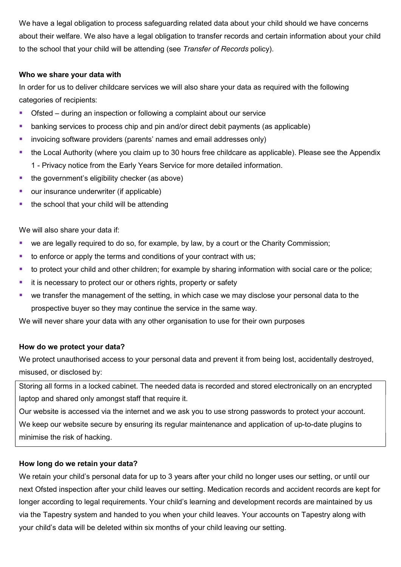We have a legal obligation to process safeguarding related data about your child should we have concerns about their welfare. We also have a legal obligation to transfer records and certain information about your child to the school that your child will be attending (see Transfer of Records policy).

#### Who we share your data with

In order for us to deliver childcare services we will also share your data as required with the following categories of recipients:

- Ofsted during an inspection or following a complaint about our service
- **•** banking services to process chip and pin and/or direct debit payments (as applicable)
- **EXTERGHEDR** involcing software providers (parents' names and email addresses only)
- the Local Authority (where you claim up to 30 hours free childcare as applicable). Please see the Appendix 1 - Privacy notice from the Early Years Service for more detailed information.
- $\blacksquare$  the government's eligibility checker (as above)
- our insurance underwriter (if applicable)
- the school that your child will be attending

We will also share your data if:

- we are legally required to do so, for example, by law, by a court or the Charity Commission;
- $\blacksquare$  to enforce or apply the terms and conditions of your contract with us;
- to protect your child and other children; for example by sharing information with social care or the police;
- **i** it is necessary to protect our or others rights, property or safety
- we transfer the management of the setting, in which case we may disclose your personal data to the prospective buyer so they may continue the service in the same way.

We will never share your data with any other organisation to use for their own purposes

#### How do we protect your data?

We protect unauthorised access to your personal data and prevent it from being lost, accidentally destroyed, misused, or disclosed by:

Storing all forms in a locked cabinet. The needed data is recorded and stored electronically on an encrypted laptop and shared only amongst staff that require it.

Our website is accessed via the internet and we ask you to use strong passwords to protect your account. We keep our website secure by ensuring its regular maintenance and application of up-to-date plugins to minimise the risk of hacking.

# How long do we retain your data?

We retain your child's personal data for up to 3 years after your child no longer uses our setting, or until our next Ofsted inspection after your child leaves our setting. Medication records and accident records are kept for longer according to legal requirements. Your child's learning and development records are maintained by us via the Tapestry system and handed to you when your child leaves. Your accounts on Tapestry along with your child's data will be deleted within six months of your child leaving our setting.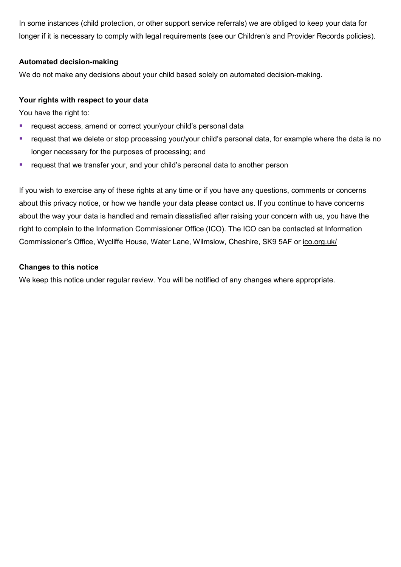In some instances (child protection, or other support service referrals) we are obliged to keep your data for longer if it is necessary to comply with legal requirements (see our Children's and Provider Records policies).

# Automated decision-making

We do not make any decisions about your child based solely on automated decision-making.

#### Your rights with respect to your data

You have the right to:

- **F** request access, amend or correct your/your child's personal data
- request that we delete or stop processing your/your child's personal data, for example where the data is no longer necessary for the purposes of processing; and
- **•** request that we transfer your, and your child's personal data to another person

If you wish to exercise any of these rights at any time or if you have any questions, comments or concerns about this privacy notice, or how we handle your data please contact us. If you continue to have concerns about the way your data is handled and remain dissatisfied after raising your concern with us, you have the right to complain to the Information Commissioner Office (ICO). The ICO can be contacted at Information Commissioner's Office, Wycliffe House, Water Lane, Wilmslow, Cheshire, SK9 5AF or ico.org.uk/

#### Changes to this notice

We keep this notice under regular review. You will be notified of any changes where appropriate.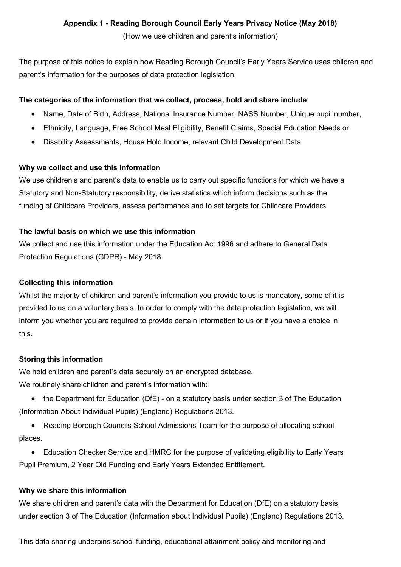# Appendix 1 - Reading Borough Council Early Years Privacy Notice (May 2018)

(How we use children and parent's information)

The purpose of this notice to explain how Reading Borough Council's Early Years Service uses children and parent's information for the purposes of data protection legislation.

# The categories of the information that we collect, process, hold and share include:

- Name, Date of Birth, Address, National Insurance Number, NASS Number, Unique pupil number,
- Ethnicity, Language, Free School Meal Eligibility, Benefit Claims, Special Education Needs or
- Disability Assessments, House Hold Income, relevant Child Development Data

# Why we collect and use this information

We use children's and parent's data to enable us to carry out specific functions for which we have a Statutory and Non-Statutory responsibility, derive statistics which inform decisions such as the funding of Childcare Providers, assess performance and to set targets for Childcare Providers

# The lawful basis on which we use this information

We collect and use this information under the Education Act 1996 and adhere to General Data Protection Regulations (GDPR) - May 2018.

# Collecting this information

Whilst the majority of children and parent's information you provide to us is mandatory, some of it is provided to us on a voluntary basis. In order to comply with the data protection legislation, we will inform you whether you are required to provide certain information to us or if you have a choice in this.

# Storing this information

We hold children and parent's data securely on an encrypted database. We routinely share children and parent's information with:

- the Department for Education (DfE) on a statutory basis under section 3 of The Education (Information About Individual Pupils) (England) Regulations 2013.
- Reading Borough Councils School Admissions Team for the purpose of allocating school places.
- Education Checker Service and HMRC for the purpose of validating eligibility to Early Years Pupil Premium, 2 Year Old Funding and Early Years Extended Entitlement.

# Why we share this information

We share children and parent's data with the Department for Education (DfE) on a statutory basis under section 3 of The Education (Information about Individual Pupils) (England) Regulations 2013.

This data sharing underpins school funding, educational attainment policy and monitoring and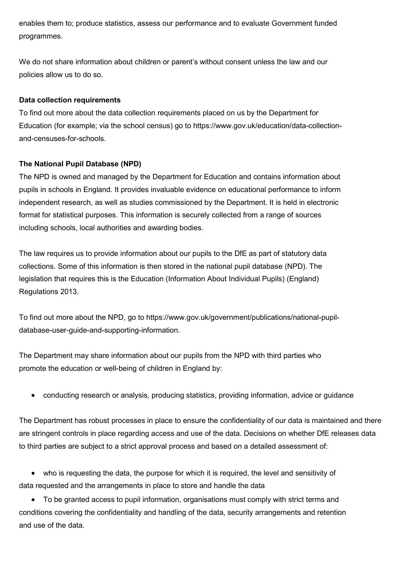enables them to; produce statistics, assess our performance and to evaluate Government funded programmes.

We do not share information about children or parent's without consent unless the law and our policies allow us to do so.

#### Data collection requirements

To find out more about the data collection requirements placed on us by the Department for Education (for example; via the school census) go to https://www.gov.uk/education/data-collectionand-censuses-for-schools.

# The National Pupil Database (NPD)

The NPD is owned and managed by the Department for Education and contains information about pupils in schools in England. It provides invaluable evidence on educational performance to inform independent research, as well as studies commissioned by the Department. It is held in electronic format for statistical purposes. This information is securely collected from a range of sources including schools, local authorities and awarding bodies.

The law requires us to provide information about our pupils to the DfE as part of statutory data collections. Some of this information is then stored in the national pupil database (NPD). The legislation that requires this is the Education (Information About Individual Pupils) (England) Regulations 2013.

To find out more about the NPD, go to https://www.gov.uk/government/publications/national-pupildatabase-user-guide-and-supporting-information.

The Department may share information about our pupils from the NPD with third parties who promote the education or well-being of children in England by:

conducting research or analysis, producing statistics, providing information, advice or guidance

The Department has robust processes in place to ensure the confidentiality of our data is maintained and there are stringent controls in place regarding access and use of the data. Decisions on whether DfE releases data to third parties are subject to a strict approval process and based on a detailed assessment of:

 who is requesting the data, the purpose for which it is required, the level and sensitivity of data requested and the arrangements in place to store and handle the data

 To be granted access to pupil information, organisations must comply with strict terms and conditions covering the confidentiality and handling of the data, security arrangements and retention and use of the data.